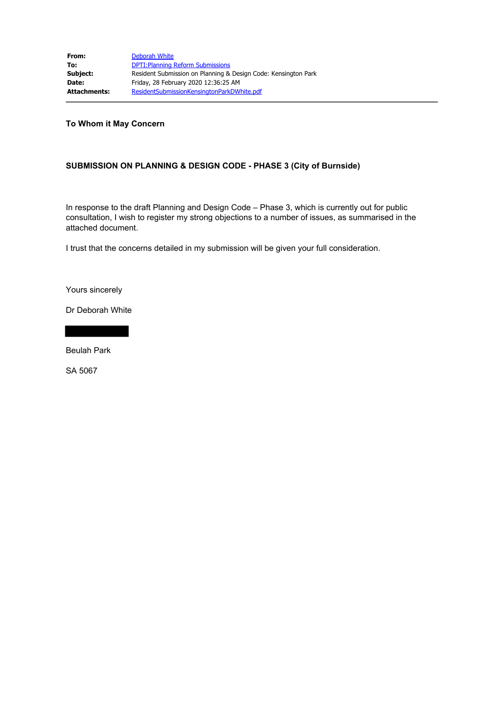**To Whom it May Concern**

## **SUBMISSION ON PLANNING & DESIGN CODE - PHASE 3 (City of Burnside)**

In response to the draft Planning and Design Code – Phase 3, which is currently out for public consultation, I wish to register my strong objections to a number of issues, as summarised in the attached document.

I trust that the concerns detailed in my submission will be given your full consideration.

Yours sincerely

Dr Deborah White

Beulah Park

SA 5067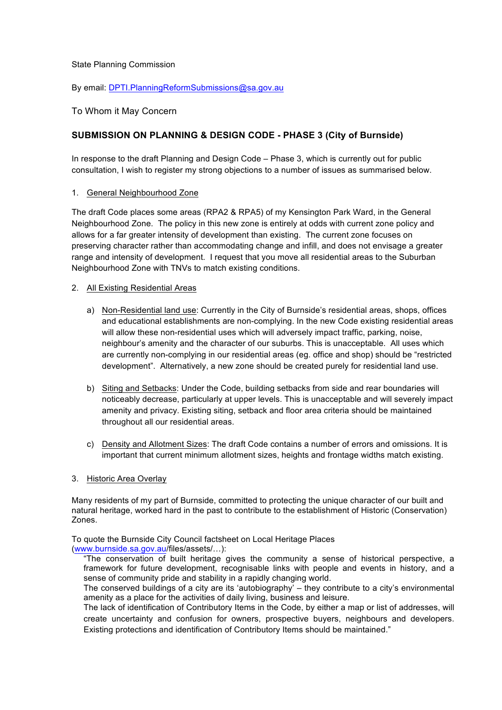### State Planning Commission

By email: DPTI.PlanningReformSubmissions@sa.gov.au

## To Whom it May Concern

# **SUBMISSION ON PLANNING & DESIGN CODE - PHASE 3 (City of Burnside)**

In response to the draft Planning and Design Code – Phase 3, which is currently out for public consultation, I wish to register my strong objections to a number of issues as summarised below.

#### 1. General Neighbourhood Zone

The draft Code places some areas (RPA2 & RPA5) of my Kensington Park Ward, in the General Neighbourhood Zone. The policy in this new zone is entirely at odds with current zone policy and allows for a far greater intensity of development than existing. The current zone focuses on preserving character rather than accommodating change and infill, and does not envisage a greater range and intensity of development. I request that you move all residential areas to the Suburban Neighbourhood Zone with TNVs to match existing conditions.

### 2. All Existing Residential Areas

- a) Non-Residential land use: Currently in the City of Burnside's residential areas, shops, offices and educational establishments are non-complying. In the new Code existing residential areas will allow these non-residential uses which will adversely impact traffic, parking, noise, neighbour's amenity and the character of our suburbs. This is unacceptable. All uses which are currently non-complying in our residential areas (eg. office and shop) should be "restricted development". Alternatively, a new zone should be created purely for residential land use.
- b) Siting and Setbacks: Under the Code, building setbacks from side and rear boundaries will noticeably decrease, particularly at upper levels. This is unacceptable and will severely impact amenity and privacy. Existing siting, setback and floor area criteria should be maintained throughout all our residential areas.
- c) Density and Allotment Sizes: The draft Code contains a number of errors and omissions. It is important that current minimum allotment sizes, heights and frontage widths match existing.

#### 3. Historic Area Overlay

Many residents of my part of Burnside, committed to protecting the unique character of our built and natural heritage, worked hard in the past to contribute to the establishment of Historic (Conservation) Zones.

To quote the Burnside City Council factsheet on Local Heritage Places

(www.burnside.sa.gov.au/files/assets/…):

"The conservation of built heritage gives the community a sense of historical perspective, a framework for future development, recognisable links with people and events in history, and a sense of community pride and stability in a rapidly changing world.

The conserved buildings of a city are its 'autobiography' – they contribute to a city's environmental amenity as a place for the activities of daily living, business and leisure.

The lack of identification of Contributory Items in the Code, by either a map or list of addresses, will create uncertainty and confusion for owners, prospective buyers, neighbours and developers. Existing protections and identification of Contributory Items should be maintained."